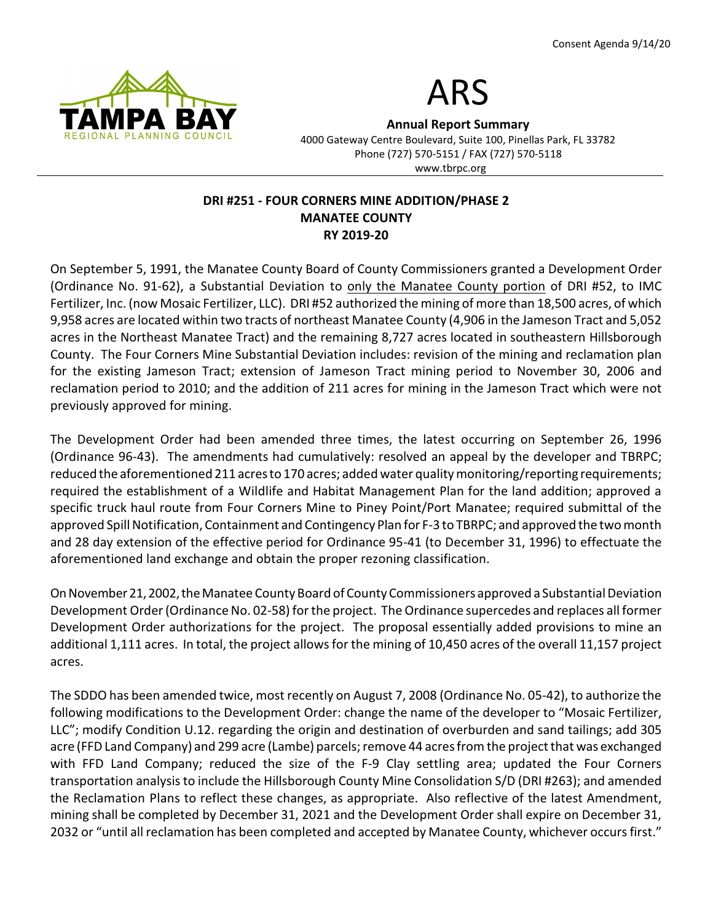



**Annual Report Summary**

4000 Gateway Centre Boulevard, Suite 100, Pinellas Park, FL 33782 Phone (727) 570-5151 / FAX (727) 570-5118 www.tbrpc.org

### **DRI #251 - FOUR CORNERS MINE ADDITION/PHASE 2 MANATEE COUNTY RY 2019-20**

On September 5, 1991, the Manatee County Board of County Commissioners granted a Development Order (Ordinance No. 91-62), a Substantial Deviation to only the Manatee County portion of DRI #52, to IMC Fertilizer, Inc. (now Mosaic Fertilizer, LLC). DRI #52 authorized the mining of more than 18,500 acres, of which 9,958 acres are located within two tracts of northeast Manatee County (4,906 in the Jameson Tract and 5,052 acres in the Northeast Manatee Tract) and the remaining 8,727 acres located in southeastern Hillsborough County. The Four Corners Mine Substantial Deviation includes: revision of the mining and reclamation plan for the existing Jameson Tract; extension of Jameson Tract mining period to November 30, 2006 and reclamation period to 2010; and the addition of 211 acres for mining in the Jameson Tract which were not previously approved for mining.

The Development Order had been amended three times, the latest occurring on September 26, 1996 (Ordinance 96-43). The amendments had cumulatively: resolved an appeal by the developer and TBRPC; reduced the aforementioned 211 acres to 170 acres; added water quality monitoring/reporting requirements; required the establishment of a Wildlife and Habitat Management Plan for the land addition; approved a specific truck haul route from Four Corners Mine to Piney Point/Port Manatee; required submittal of the approved Spill Notification, Containment and Contingency Plan for F-3 to TBRPC; and approved the two month and 28 day extension of the effective period for Ordinance 95-41 (to December 31, 1996) to effectuate the aforementioned land exchange and obtain the proper rezoning classification.

OnNovember21,2002,theManatee County Board of County Commissioners approved a Substantial Deviation Development Order (Ordinance No. 02-58) for the project. The Ordinance supercedes and replaces all former Development Order authorizations for the project. The proposal essentially added provisions to mine an additional 1,111 acres. In total, the project allows for the mining of 10,450 acres of the overall 11,157 project acres.

The SDDO has been amended twice, most recently on August 7, 2008 (Ordinance No. 05-42), to authorize the following modifications to the Development Order: change the name of the developer to "Mosaic Fertilizer, LLC"; modify Condition U.12. regarding the origin and destination of overburden and sand tailings; add 305 acre (FFD Land Company) and 299 acre (Lambe) parcels; remove 44 acres from the project that was exchanged with FFD Land Company; reduced the size of the F-9 Clay settling area; updated the Four Corners transportation analysis to include the Hillsborough County Mine Consolidation S/D (DRI #263); and amended the Reclamation Plans to reflect these changes, as appropriate. Also reflective of the latest Amendment, mining shall be completed by December 31, 2021 and the Development Order shall expire on December 31, 2032 or "until all reclamation has been completed and accepted by Manatee County, whichever occurs first."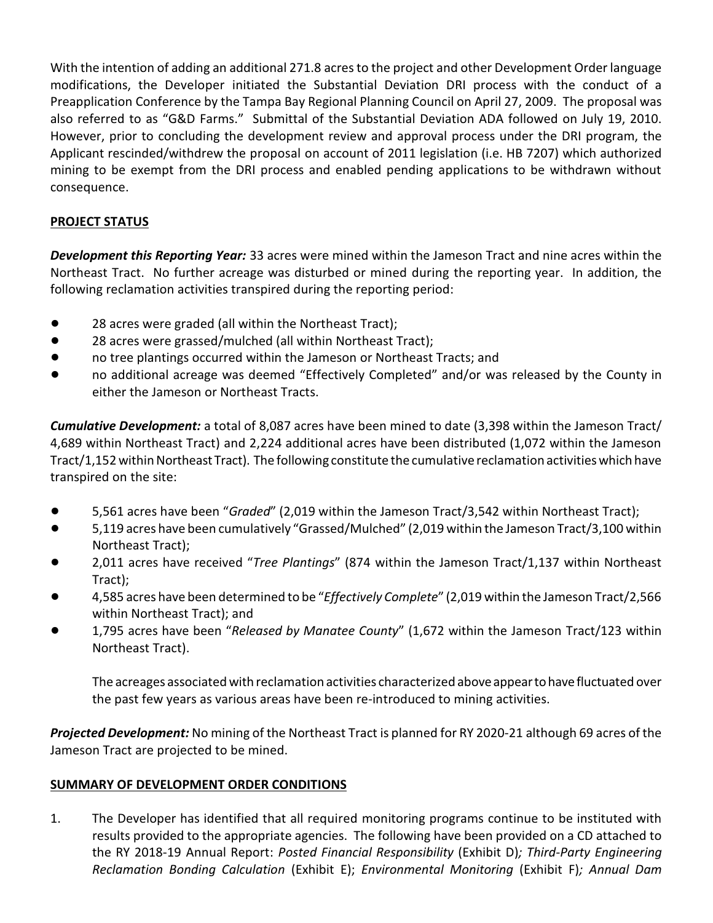With the intention of adding an additional 271.8 acres to the project and other Development Order language modifications, the Developer initiated the Substantial Deviation DRI process with the conduct of a Preapplication Conference by the Tampa Bay Regional Planning Council on April 27, 2009. The proposal was also referred to as "G&D Farms." Submittal of the Substantial Deviation ADA followed on July 19, 2010. However, prior to concluding the development review and approval process under the DRI program, the Applicant rescinded/withdrew the proposal on account of 2011 legislation (i.e. HB 7207) which authorized mining to be exempt from the DRI process and enabled pending applications to be withdrawn without consequence.

# **PROJECT STATUS**

*Development this Reporting Year:* 33 acres were mined within the Jameson Tract and nine acres within the Northeast Tract. No further acreage was disturbed or mined during the reporting year. In addition, the following reclamation activities transpired during the reporting period:

- 28 acres were graded (all within the Northeast Tract);
- 28 acres were grassed/mulched (all within Northeast Tract);
- ! no tree plantings occurred within the Jameson or Northeast Tracts; and
- no additional acreage was deemed "Effectively Completed" and/or was released by the County in either the Jameson or Northeast Tracts.

*Cumulative Development:* a total of 8,087 acres have been mined to date (3,398 within the Jameson Tract/ 4,689 within Northeast Tract) and 2,224 additional acres have been distributed (1,072 within the Jameson Tract/1,152 within Northeast Tract). The following constitute the cumulative reclamation activities which have transpired on the site:

- ! 5,561 acres have been "*Graded*" (2,019 within the Jameson Tract/3,542 within Northeast Tract);
- ! 5,119 acres have been cumulatively "Grassed/Mulched" (2,019 within the Jameson Tract/3,100 within Northeast Tract);
- ! 2,011 acres have received "*Tree Plantings*" (874 within the Jameson Tract/1,137 within Northeast Tract);
- ! 4,585 acres have been determined to be "*Effectively Complete*" (2,019 within the Jameson Tract/2,566 within Northeast Tract); and
- ! 1,795 acres have been "*Released by Manatee County*" (1,672 within the Jameson Tract/123 within Northeast Tract).

The acreages associated with reclamation activities characterized above appear to have fluctuated over the past few years as various areas have been re-introduced to mining activities.

*Projected Development:* No mining of the Northeast Tract is planned for RY 2020-21 although 69 acres of the Jameson Tract are projected to be mined.

## **SUMMARY OF DEVELOPMENT ORDER CONDITIONS**

1. The Developer has identified that all required monitoring programs continue to be instituted with results provided to the appropriate agencies. The following have been provided on a CD attached to the RY 2018-19 Annual Report: *Posted Financial Responsibility* (Exhibit D)*; Third-Party Engineering Reclamation Bonding Calculation* (Exhibit E); *Environmental Monitoring* (Exhibit F)*; Annual Dam*